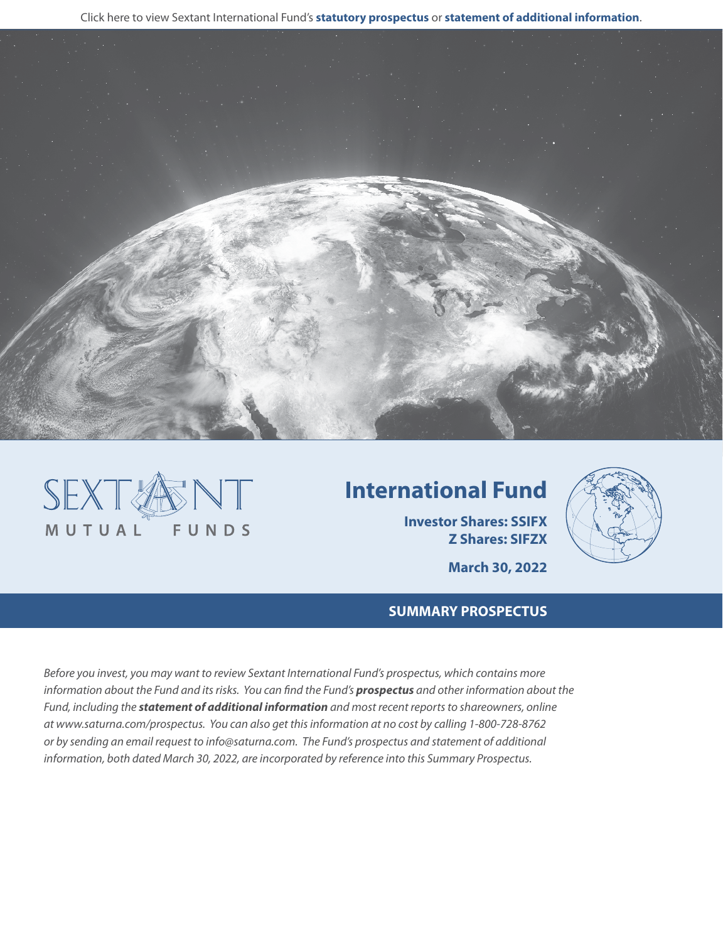Click here to view Sextant International Fund's **[statutory prospectus](https://www.saturna.com/sites/saturna.com/files/files/Sextant_Prospectus.pdf)** or **[statement of additional information](https://www.saturna.com/sites/saturna.com/files/files/SIT_SAI.pdf)**.





# **International Fund**

**Investor Shares: SSIFX Z Shares: SIFZX**



**March 30, 2022**

# **SUMMARY PROSPECTUS**

*Before you invest, you may want to review Sextant International Fund's prospectus, which contains more information about the Fund and its risks. You can find the Fund's [prospectus](https://www.saturna.com/sites/saturna.com/files/files/Sextant_Prospectus.pdf) and other information about the Fund, including the [statement of additional information](https://www.saturna.com/sites/saturna.com/files/files/SIT_SAI.pdf) and most recent reports to shareowners, online at www.saturna.com/prospectus. You can also get this information at no cost by calling 1-800-728-8762 or by sending an email request to info@saturna.com. The Fund's prospectus and statement of additional information, both dated March 30, 2022, are incorporated by reference into this Summary Prospectus.*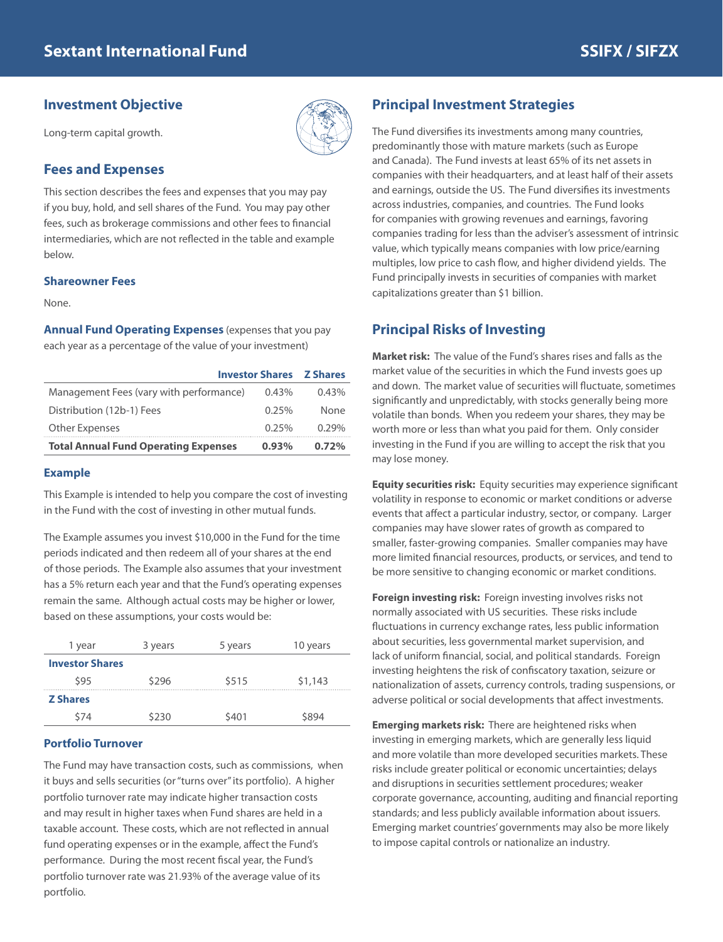## **Investment Objective**

Long-term capital growth.

## **Fees and Expenses**

This section describes the fees and expenses that you may pay if you buy, hold, and sell shares of the Fund. You may pay other fees, such as brokerage commissions and other fees to financial intermediaries, which are not reflected in the table and example below.

#### **Shareowner Fees**

None.

**Annual Fund Operating Expenses** (expenses that you pay each year as a percentage of the value of your investment)

| <b>Investor Shares Z Shares</b>             |          |          |
|---------------------------------------------|----------|----------|
| Management Fees (vary with performance)     | 0.43%    | $0.43\%$ |
| Distribution (12b-1) Fees                   | 0.25%    | None     |
| Other Expenses                              | 0.25%    | $0.29\%$ |
| <b>Total Annual Fund Operating Expenses</b> | $0.93\%$ | 0.72%    |

#### **Example**

This Example is intended to help you compare the cost of investing in the Fund with the cost of investing in other mutual funds.

The Example assumes you invest \$10,000 in the Fund for the time periods indicated and then redeem all of your shares at the end of those periods. The Example also assumes that your investment has a 5% return each year and that the Fund's operating expenses remain the same. Although actual costs may be higher or lower, based on these assumptions, your costs would be:

| 1 year                 | 3 years | 5 years | 10 years |
|------------------------|---------|---------|----------|
| <b>Investor Shares</b> |         |         |          |
| \$95                   | \$296   | \$515   | \$1,143  |
| <b>Z Shares</b>        |         |         |          |
| \$74                   | \$230   | \$401   | S894     |

#### **Portfolio Turnover**

The Fund may have transaction costs, such as commissions, when it buys and sells securities (or "turns over" its portfolio). A higher portfolio turnover rate may indicate higher transaction costs and may result in higher taxes when Fund shares are held in a taxable account. These costs, which are not reflected in annual fund operating expenses or in the example, affect the Fund's performance. During the most recent fiscal year, the Fund's portfolio turnover rate was 21.93% of the average value of its portfolio.

# **Principal Investment Strategies**

The Fund diversifies its investments among many countries, predominantly those with mature markets (such as Europe and Canada). The Fund invests at least 65% of its net assets in companies with their headquarters, and at least half of their assets and earnings, outside the US. The Fund diversifies its investments across industries, companies, and countries. The Fund looks for companies with growing revenues and earnings, favoring companies trading for less than the adviser's assessment of intrinsic value, which typically means companies with low price/earning multiples, low price to cash flow, and higher dividend yields. The Fund principally invests in securities of companies with market capitalizations greater than \$1 billion.

### **Principal Risks of Investing**

**Market risk:** The value of the Fund's shares rises and falls as the market value of the securities in which the Fund invests goes up and down. The market value of securities will fluctuate, sometimes significantly and unpredictably, with stocks generally being more volatile than bonds. When you redeem your shares, they may be worth more or less than what you paid for them. Only consider investing in the Fund if you are willing to accept the risk that you may lose money.

**Equity securities risk:** Equity securities may experience significant volatility in response to economic or market conditions or adverse events that affect a particular industry, sector, or company. Larger companies may have slower rates of growth as compared to smaller, faster-growing companies. Smaller companies may have more limited financial resources, products, or services, and tend to be more sensitive to changing economic or market conditions.

**Foreign investing risk:** Foreign investing involves risks not normally associated with US securities. These risks include fluctuations in currency exchange rates, less public information about securities, less governmental market supervision, and lack of uniform financial, social, and political standards. Foreign investing heightens the risk of confiscatory taxation, seizure or nationalization of assets, currency controls, trading suspensions, or adverse political or social developments that affect investments.

**Emerging markets risk:** There are heightened risks when investing in emerging markets, which are generally less liquid and more volatile than more developed securities markets. These risks include greater political or economic uncertainties; delays and disruptions in securities settlement procedures; weaker corporate governance, accounting, auditing and financial reporting standards; and less publicly available information about issuers. Emerging market countries' governments may also be more likely to impose capital controls or nationalize an industry.

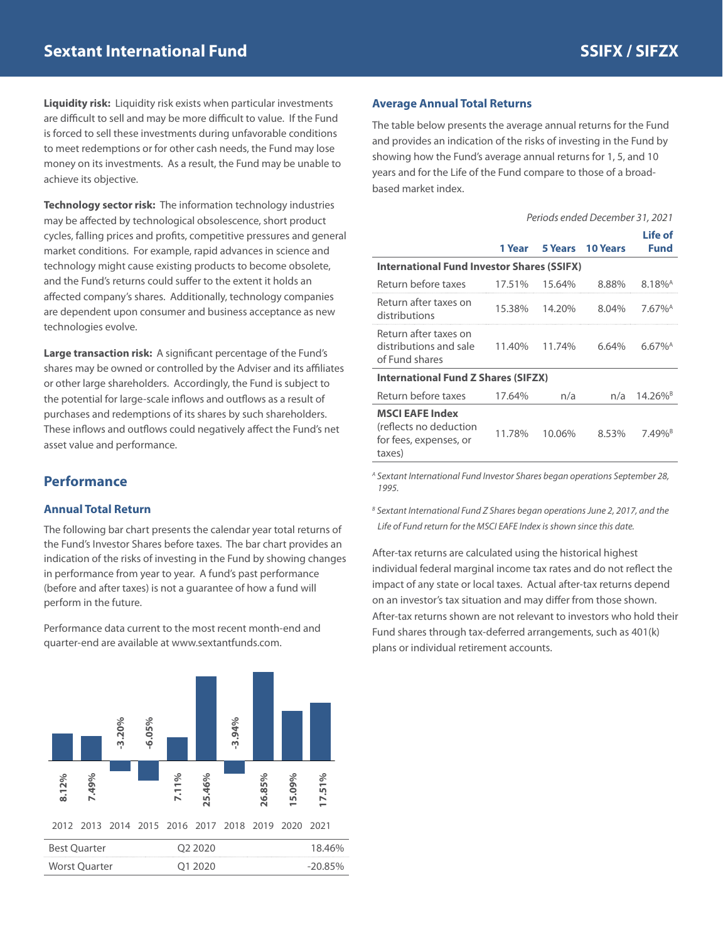**Liquidity risk:** Liquidity risk exists when particular investments are difficult to sell and may be more difficult to value. If the Fund is forced to sell these investments during unfavorable conditions to meet redemptions or for other cash needs, the Fund may lose money on its investments. As a result, the Fund may be unable to achieve its objective.

**Technology sector risk:** The information technology industries may be affected by technological obsolescence, short product cycles, falling prices and profits, competitive pressures and general market conditions. For example, rapid advances in science and technology might cause existing products to become obsolete, and the Fund's returns could suffer to the extent it holds an affected company's shares. Additionally, technology companies are dependent upon consumer and business acceptance as new technologies evolve.

**Large transaction risk:** A significant percentage of the Fund's shares may be owned or controlled by the Adviser and its affiliates or other large shareholders. Accordingly, the Fund is subject to the potential for large-scale inflows and outflows as a result of purchases and redemptions of its shares by such shareholders. These inflows and outflows could negatively affect the Fund's net asset value and performance.

# **Performance**

#### **Annual Total Return**

The following bar chart presents the calendar year total returns of the Fund's Investor Shares before taxes. The bar chart provides an indication of the risks of investing in the Fund by showing changes in performance from year to year. A fund's past performance (before and after taxes) is not a guarantee of how a fund will perform in the future.

Performance data current to the most recent month-end and quarter-end are available at www.sextantfunds.com.



#### **Average Annual Total Returns**

The table below presents the average annual returns for the Fund and provides an indication of the risks of investing in the Fund by showing how the Fund's average annual returns for 1, 5, and 10 years and for the Life of the Fund compare to those of a broadbased market index.

|                                                                                      | Periods ended December 31, 2021 |         |                 |                        |
|--------------------------------------------------------------------------------------|---------------------------------|---------|-----------------|------------------------|
|                                                                                      | 1 Year                          | 5 Years | <b>10 Years</b> | Life of<br>Fund        |
| <b>International Fund Investor Shares (SSIFX)</b>                                    |                                 |         |                 |                        |
| Return before taxes                                                                  | 17.51%                          | 15.64%  | 8.88%           | $8.18\%$ <sup>A</sup>  |
| Return after taxes on<br>distributions                                               | 15.38%                          | 14.20%  | 8.04%           | $7.67\%$ <sup>A</sup>  |
| Return after taxes on<br>distributions and sale<br>of Fund shares                    | 11.40%                          | 11.74%  | 6.64%           | $6.67\%$ <sup>A</sup>  |
| <b>International Fund Z Shares (SIFZX)</b>                                           |                                 |         |                 |                        |
| Return before taxes                                                                  | 17.64%                          | n/a     | n/a             | $14.26\%$ <sup>B</sup> |
| <b>MSCI EAFE Index</b><br>(reflects no deduction<br>for fees, expenses, or<br>taxes) | 11.78%                          | 10.06%  | 8.53%           | 7.49% <sup>B</sup>     |

*A Sextant International Fund Investor Shares began operations September 28, 1995.*

<sup>B</sup> Sextant International Fund Z Shares began operations June 2, 2017, and the *Life of Fund return for the MSCI EAFE Index is shown since this date.*

After-tax returns are calculated using the historical highest individual federal marginal income tax rates and do not reflect the impact of any state or local taxes. Actual after-tax returns depend on an investor's tax situation and may differ from those shown. After-tax returns shown are not relevant to investors who hold their Fund shares through tax-deferred arrangements, such as 401(k) plans or individual retirement accounts.